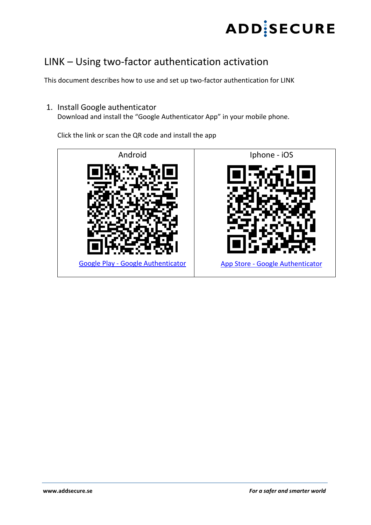

## LINK – Using two-factor authentication activation

This document describes how to use and set up two-factor authentication for LINK

1. Install Google authenticator

Download and install the "Google Authenticator App" in your mobile phone.

Click the link or scan the QR code and install the app

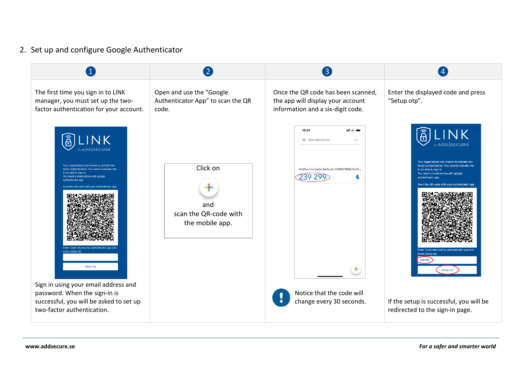## 2. Set up and configure Google Authenticator

|                                                                                                                                                                                                                                                                                                                                                                                                                                                                                                                            | $\left( 2\right)$                                                      | $\left( 3\right)$                                                                                                                                          |                                                                                                                                                                                                                                                                                                                                                                                                                               |
|----------------------------------------------------------------------------------------------------------------------------------------------------------------------------------------------------------------------------------------------------------------------------------------------------------------------------------------------------------------------------------------------------------------------------------------------------------------------------------------------------------------------------|------------------------------------------------------------------------|------------------------------------------------------------------------------------------------------------------------------------------------------------|-------------------------------------------------------------------------------------------------------------------------------------------------------------------------------------------------------------------------------------------------------------------------------------------------------------------------------------------------------------------------------------------------------------------------------|
| The first time you sign in to LINK<br>manager, you must set up the two-<br>factor authentication for your account.                                                                                                                                                                                                                                                                                                                                                                                                         | Open and use the "Google<br>Authenticator App" to scan the QR<br>code. | Once the QR code has been scanned,<br>the app will display your account<br>information and a six-digit code.                                               | Enter the displayed code and press<br>"Setup otp".                                                                                                                                                                                                                                                                                                                                                                            |
| $\left[\widehat{\widehat{\mathsf{B}}}\right]$<br><b>LINK</b><br>by ADD SECURE<br>Your organization has chosen to activate two-<br>factor authentication. You need to activate this<br>to be able to sign in<br>You need a smart phone with google<br>authenticator app<br>Scan the QR-code with your authenticator app<br>Enter Code returned by authenticator app and<br>press Setup otp<br>Setup otp<br>Sign in using your email address and<br>password. When the sign-in is<br>successful, you will be asked to set up | Click on<br>and<br>scan the QR-code with<br>the mobile app.            | 16:45<br>na lin<br>Sök efter konton<br><br>AddSecure (pelle.karlsson.12345678@link.iot<br>239 299<br>Notice that the code will<br>change every 30 seconds. | $\widehat{A}$<br><b>NK</b><br><b>ADDISECURE</b><br>Your organization has chosen to activate two-<br>actor authentication. You need to activate this<br>to be able to sign in.<br>You need a smart phone with google<br>authenticator ann<br>Scan the QR-code with your authenticator app<br>Enter Code returned by authenticator app and<br>press Setup otp<br>239299<br>Setup otp<br>If the setup is successful, you will be |
| two-factor authentication.                                                                                                                                                                                                                                                                                                                                                                                                                                                                                                 |                                                                        |                                                                                                                                                            | redirected to the sign-in page.                                                                                                                                                                                                                                                                                                                                                                                               |